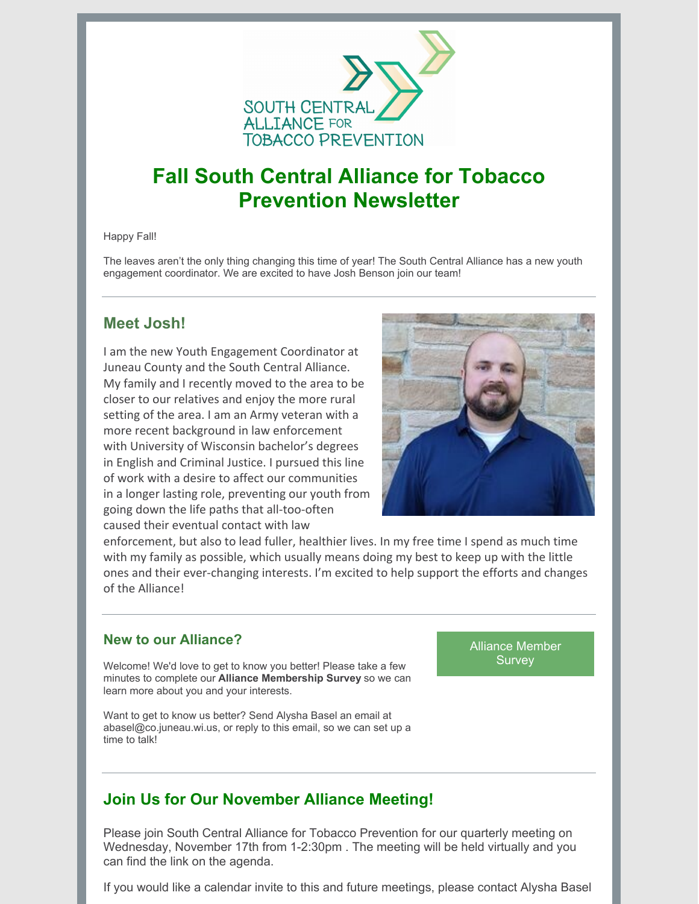

# **Fall South Central Alliance for Tobacco Prevention Newsletter**

Happy Fall!

The leaves aren't the only thing changing this time of year! The South Central Alliance has a new youth engagement coordinator. We are excited to have Josh Benson join our team!

## **Meet Josh!**

I am the new Youth Engagement Coordinator at Juneau County and the South Central Alliance. My family and I recently moved to the area to be closer to our relatives and enjoy the more rural setting of the area. I am an Army veteran with a more recent background in law enforcement with University of Wisconsin bachelor's degrees in English and Criminal Justice. I pursued this line of work with a desire to affect our communities in a longer lasting role, preventing our youth from going down the life paths that all-too-often caused their eventual contact with law



enforcement, but also to lead fuller, healthier lives. In my free time I spend as much time with my family as possible, which usually means doing my best to keep up with the little ones and their ever-changing interests. I'm excited to help support the efforts and changes of the Alliance!

#### **New to our Alliance?**

Welcome! We'd love to get to know you better! Please take a few minutes to complete our **Alliance Membership Survey** so we can learn more about you and your interests.

Want to get to know us better? Send Alysha Basel an email at abasel@co.juneau.wi.us, or reply to this email, so we can set up a time to talk!

Alliance [Member](https://forms.gle/Tx4xvX7EjVtaYZNA9) **Survey** 

## **Join Us for Our November Alliance Meeting!**

Please join South Central Alliance for Tobacco Prevention for our quarterly meeting on Wednesday, November 17th from 1-2:30pm . The meeting will be held virtually and you can find the link on the agenda.

If you would like a calendar invite to this and future meetings, please contact Alysha Basel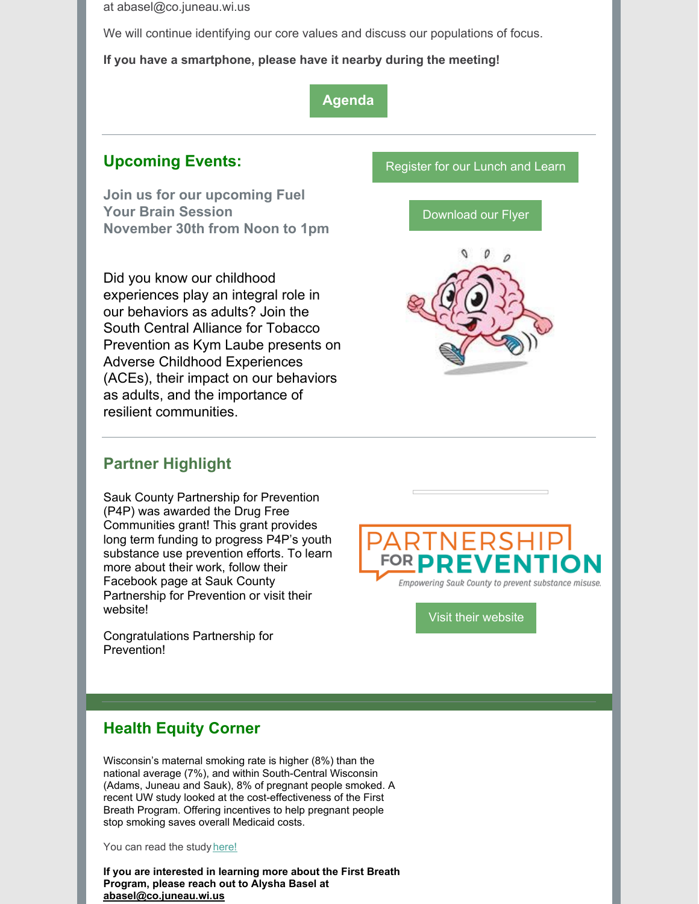at abasel@co.juneau.wi.us

We will continue identifying our core values and discuss our populations of focus.

**If you have a smartphone, please have it nearby during the meeting!**

#### **[Agenda](https://files.constantcontact.com/d7c1aa9b701/fe83e0e2-eb6f-4867-beee-9a4301e09a41.docx)**

## **Upcoming Events:**

**Join us for our upcoming Fuel Your Brain Session November 30th from Noon to 1pm**

Did you know our childhood experiences play an integral role in our behaviors as adults? Join the South Central Alliance for Tobacco Prevention as Kym Laube presents on Adverse Childhood Experiences (ACEs), their impact on our behaviors as adults, and the importance of resilient communities.

## **Partner Highlight**

Sauk County Partnership for Prevention (P4P) was awarded the Drug Free Communities grant! This grant provides long term funding to progress P4P's youth substance use prevention efforts. To learn more about their work, follow their Facebook page at Sauk County Partnership for Prevention or visit their website!

Congratulations Partnership for Prevention!

[Register](https://conta.cc/3uu3nmR) for our Lunch and Learn

[Download](https://files.constantcontact.com/d7c1aa9b701/a1048244-5695-4116-8a80-41685a406e12.pdf) our Flyer





Visit their [website](https://p4psauk.org/)

## **Health Equity Corner**

Wisconsin's maternal smoking rate is higher (8%) than the national average (7%), and within South-Central Wisconsin (Adams, Juneau and Sauk), 8% of pregnant people smoked. A recent UW study looked at the cost-effectiveness of the First Breath Program. Offering incentives to help pregnant people stop smoking saves overall Medicaid costs.

You can read the study [here!](https://www.sciencedirect.com/science/article/pii/S0091743521003467)

**If you are interested in learning more about the First Breath Program, please reach out to Alysha Basel at [abasel@co.juneau.wi.us](mailto:abasel@co.juneau.wi.us)**